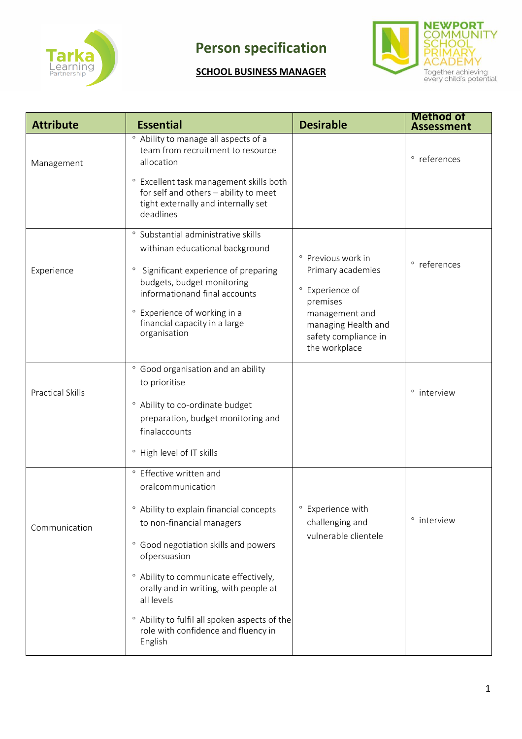

## **Person specification**

## **SCHOOL BUSINESS MANAGER**



| <b>Attribute</b>        | <b>Essential</b>                                                                                                                                                                                                                                                                                                                                                                           | <b>Desirable</b>                                                                                                                                                  | <b>Method of</b><br><b>Assessment</b> |
|-------------------------|--------------------------------------------------------------------------------------------------------------------------------------------------------------------------------------------------------------------------------------------------------------------------------------------------------------------------------------------------------------------------------------------|-------------------------------------------------------------------------------------------------------------------------------------------------------------------|---------------------------------------|
| Management              | ° Ability to manage all aspects of a<br>team from recruitment to resource<br>allocation<br>° Excellent task management skills both<br>for self and others - ability to meet<br>tight externally and internally set<br>deadlines                                                                                                                                                            |                                                                                                                                                                   | ° references                          |
| Experience              | ° Substantial administrative skills<br>withinan educational background<br>° Significant experience of preparing<br>budgets, budget monitoring<br>informationand final accounts<br>° Experience of working in a<br>financial capacity in a large<br>organisation                                                                                                                            | ° Previous work in<br>Primary academies<br>Experience of<br>$\circ$<br>premises<br>management and<br>managing Health and<br>safety compliance in<br>the workplace | ° references                          |
| <b>Practical Skills</b> | ° Good organisation and an ability<br>to prioritise<br>° Ability to co-ordinate budget<br>preparation, budget monitoring and<br>finalaccounts<br><sup>o</sup> High level of IT skills                                                                                                                                                                                                      |                                                                                                                                                                   | ° interview                           |
| Communication           | ° Effective written and<br>oralcommunication<br><sup>o</sup> Ability to explain financial concepts<br>to non-financial managers<br>° Good negotiation skills and powers<br>ofpersuasion<br>° Ability to communicate effectively,<br>orally and in writing, with people at<br>all levels<br>° Ability to fulfil all spoken aspects of the<br>role with confidence and fluency in<br>English | ° Experience with<br>challenging and<br>vulnerable clientele                                                                                                      | ° interview                           |